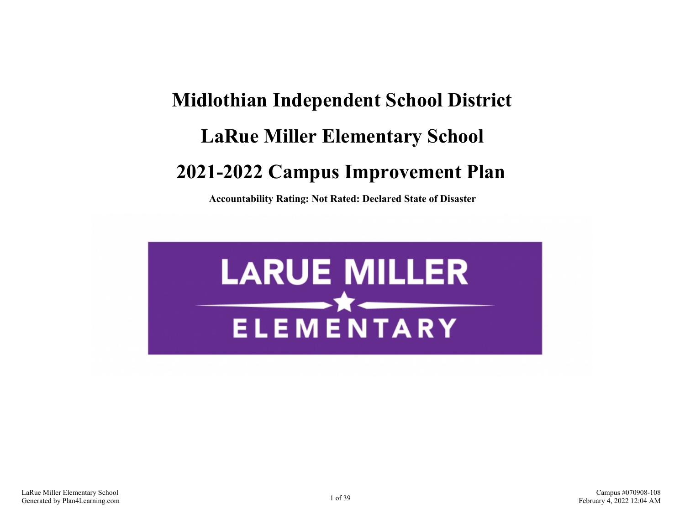# **Midlothian Independent School District LaRue Miller Elementary School 2021-2022 Campus Improvement Plan**

**Accountability Rating: Not Rated: Declared State of Disaster**

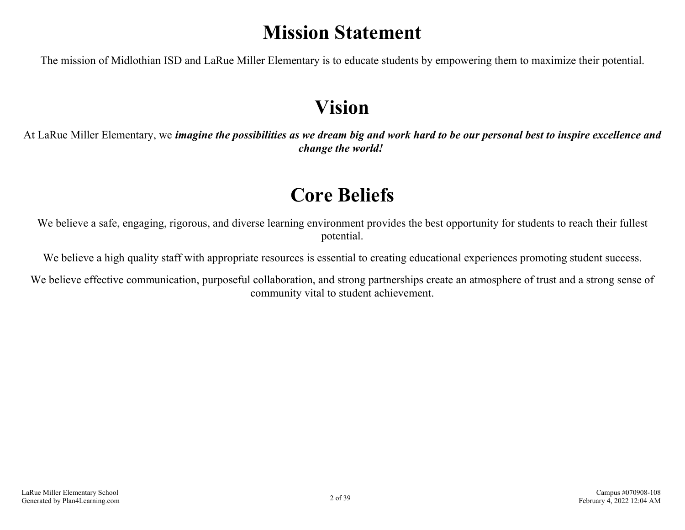## **Mission Statement**

The mission of Midlothian ISD and LaRue Miller Elementary is to educate students by empowering them to maximize their potential.

## **Vision**

At LaRue Miller Elementary, we *imagine the possibilities as we dream big and work hard to be our personal best to inspire excellence and change the world!*

## **Core Beliefs**

We believe a safe, engaging, rigorous, and diverse learning environment provides the best opportunity for students to reach their fullest potential.

We believe a high quality staff with appropriate resources is essential to creating educational experiences promoting student success.

We believe effective communication, purposeful collaboration, and strong partnerships create an atmosphere of trust and a strong sense of community vital to student achievement.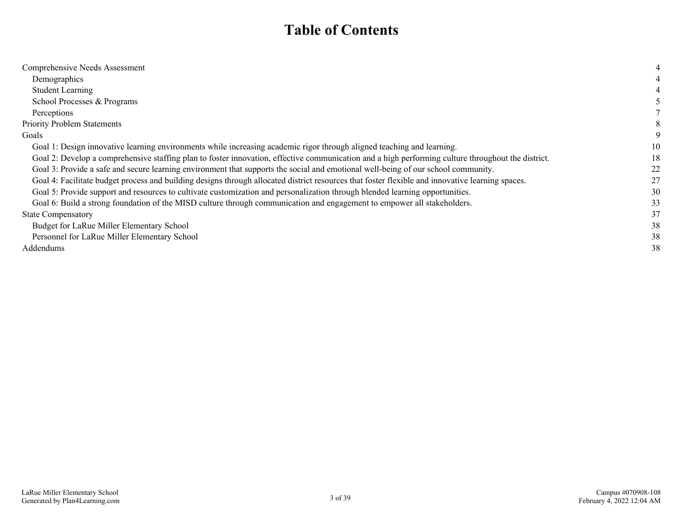### **Table of Contents**

| Comprehensive Needs Assessment                                                                                                                     |    |
|----------------------------------------------------------------------------------------------------------------------------------------------------|----|
| Demographics                                                                                                                                       |    |
| <b>Student Learning</b>                                                                                                                            |    |
| School Processes & Programs                                                                                                                        |    |
| Perceptions                                                                                                                                        |    |
| <b>Priority Problem Statements</b>                                                                                                                 |    |
| Goals                                                                                                                                              |    |
| Goal 1: Design innovative learning environments while increasing academic rigor through aligned teaching and learning.                             | 10 |
| Goal 2: Develop a comprehensive staffing plan to foster innovation, effective communication and a high performing culture throughout the district. | 18 |
| Goal 3: Provide a safe and secure learning environment that supports the social and emotional well-being of our school community.                  | 22 |
| Goal 4: Facilitate budget process and building designs through allocated district resources that foster flexible and innovative learning spaces.   | 27 |
| Goal 5: Provide support and resources to cultivate customization and personalization through blended learning opportunities.                       | 30 |
| Goal 6: Build a strong foundation of the MISD culture through communication and engagement to empower all stakeholders.                            | 33 |
| <b>State Compensatory</b>                                                                                                                          | 37 |
| Budget for LaRue Miller Elementary School                                                                                                          | 38 |
| Personnel for LaRue Miller Elementary School                                                                                                       | 38 |
| Addendums                                                                                                                                          | 38 |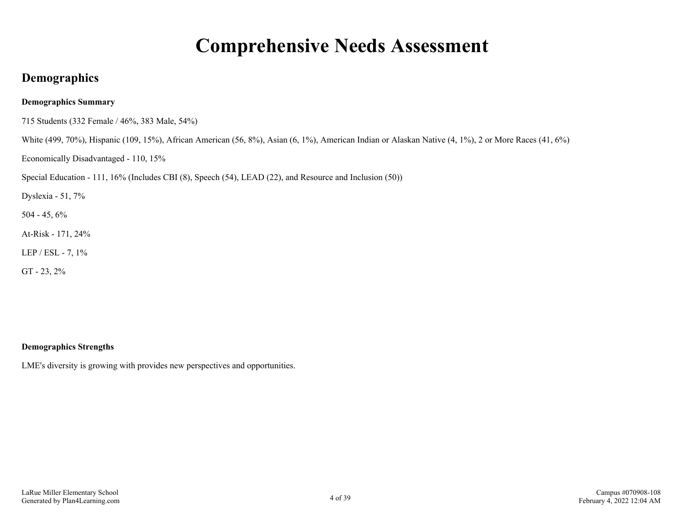## **Comprehensive Needs Assessment**

### <span id="page-3-0"></span>**Demographics**

#### **Demographics Summary**

715 Students (332 Female / 46%, 383 Male, 54%)

White (499, 70%), Hispanic (109, 15%), African American (56, 8%), Asian (6, 1%), American Indian or Alaskan Native (4, 1%), 2 or More Races (41, 6%)

Economically Disadvantaged - 110, 15%

Special Education - 111, 16% (Includes CBI (8), Speech (54), LEAD (22), and Resource and Inclusion (50))

Dyslexia - 51, 7%

504 - 45, 6%

At-Risk - 171, 24%

LEP / ESL - 7, 1%

GT - 23, 2%

#### **Demographics Strengths**

LME's diversity is growing with provides new perspectives and opportunities.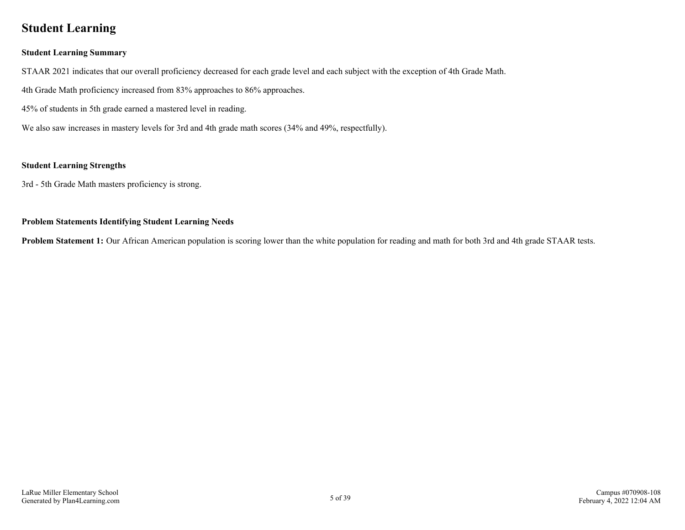### <span id="page-4-0"></span>**Student Learning**

#### **Student Learning Summary**

STAAR 2021 indicates that our overall proficiency decreased for each grade level and each subject with the exception of 4th Grade Math.

4th Grade Math proficiency increased from 83% approaches to 86% approaches.

45% of students in 5th grade earned a mastered level in reading.

We also saw increases in mastery levels for 3rd and 4th grade math scores (34% and 49%, respectfully).

#### **Student Learning Strengths**

3rd - 5th Grade Math masters proficiency is strong.

#### **Problem Statements Identifying Student Learning Needs**

**Problem Statement 1:** Our African American population is scoring lower than the white population for reading and math for both 3rd and 4th grade STAAR tests.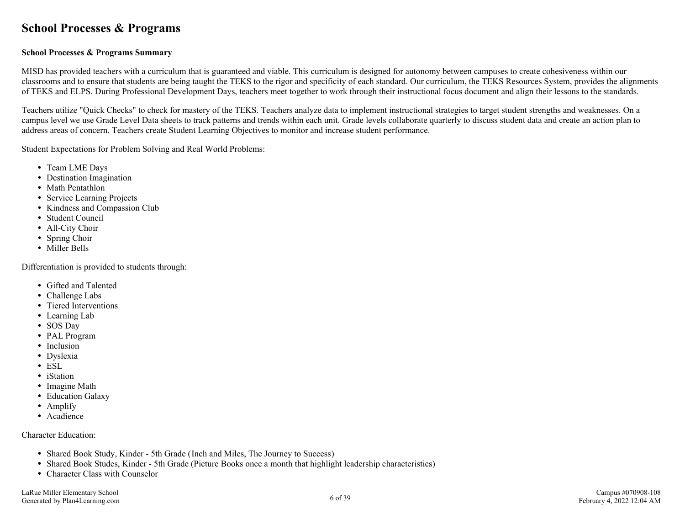### <span id="page-5-0"></span>**School Processes & Programs**

#### **School Processes & Programs Summary**

MISD has provided teachers with a curriculum that is guaranteed and viable. This curriculum is designed for autonomy between campuses to create cohesiveness within our classrooms and to ensure that students are being taught the TEKS to the rigor and specificity of each standard. Our curriculum, the TEKS Resources System, provides the alignments of TEKS and ELPS. During Professional Development Days, teachers meet together to work through their instructional focus document and align their lessons to the standards.

Teachers utilize "Quick Checks" to check for mastery of the TEKS. Teachers analyze data to implement instructional strategies to target student strengths and weaknesses. On a campus level we use Grade Level Data sheets to track patterns and trends within each unit. Grade levels collaborate quarterly to discuss student data and create an action plan to address areas of concern. Teachers create Student Learning Objectives to monitor and increase student performance.

Student Expectations for Problem Solving and Real World Problems:

- Team LME Days
- Destination Imagination
- Math Pentathlon
- Service Learning Projects
- Kindness and Compassion Club
- Student Council
- All-City Choir
- Spring Choir
- Miller Bells

Differentiation is provided to students through:

- Gifted and Talented
- Challenge Labs
- Tiered Interventions
- Learning Lab
- SOS Day
- PAL Program
- Inclusion
- Dyslexia
- ESL
- iStation
- Imagine Math
- Education Galaxy
- Amplify
- Acadience

Character Education:

- Shared Book Study, Kinder 5th Grade (Inch and Miles, The Journey to Success)
- Shared Book Studes, Kinder 5th Grade (Picture Books once a month that highlight leadership characteristics)
- Character Class with Counselor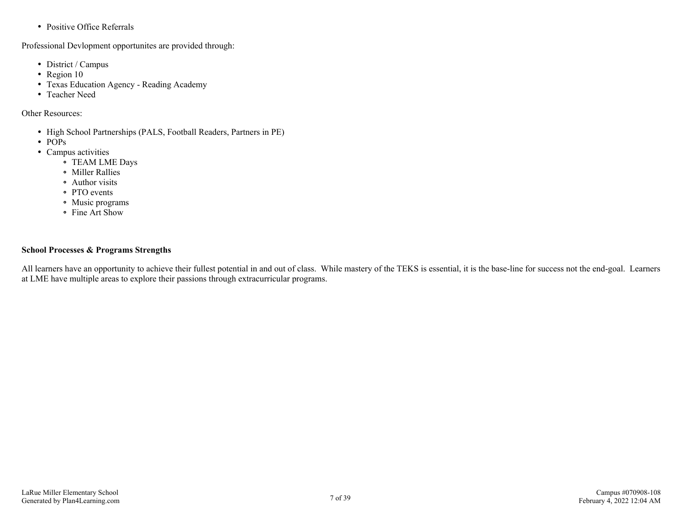• Positive Office Referrals

Professional Devlopment opportunites are provided through:

- District / Campus
- Region 10
- Texas Education Agency Reading Academy
- Teacher Need

Other Resources:

- High School Partnerships (PALS, Football Readers, Partners in PE)
- POPs
- Campus activities
	- TEAM LME Days
	- Miller Rallies
	- Author visits
	- PTO events
	- Music programs
	- Fine Art Show

#### **School Processes & Programs Strengths**

All learners have an opportunity to achieve their fullest potential in and out of class. While mastery of the TEKS is essential, it is the base-line for success not the end-goal. Learners at LME have multiple areas to explore their passions through extracurricular programs.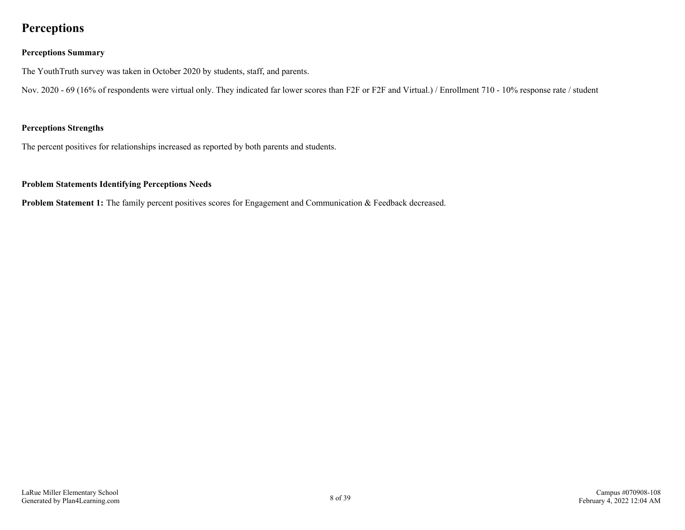### <span id="page-7-0"></span>**Perceptions**

#### **Perceptions Summary**

The YouthTruth survey was taken in October 2020 by students, staff, and parents.

Nov. 2020 - 69 (16% of respondents were virtual only. They indicated far lower scores than F2F or F2F and Virtual.) / Enrollment 710 - 10% response rate / student

#### **Perceptions Strengths**

The percent positives for relationships increased as reported by both parents and students.

#### **Problem Statements Identifying Perceptions Needs**

**Problem Statement 1:** The family percent positives scores for Engagement and Communication & Feedback decreased.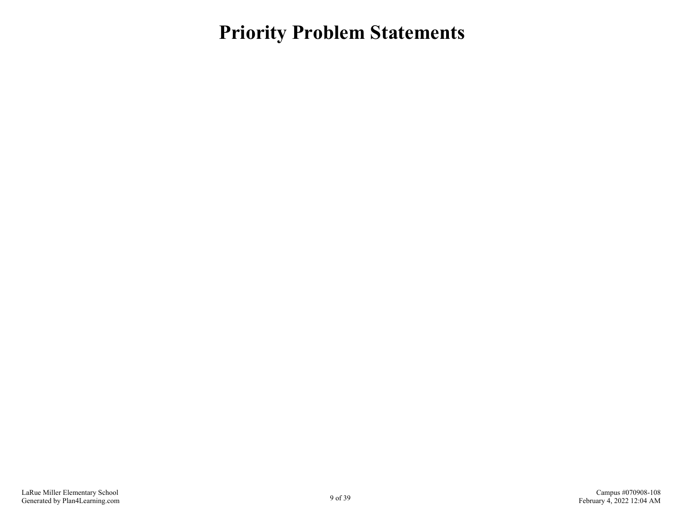<span id="page-8-0"></span>**Priority Problem Statements**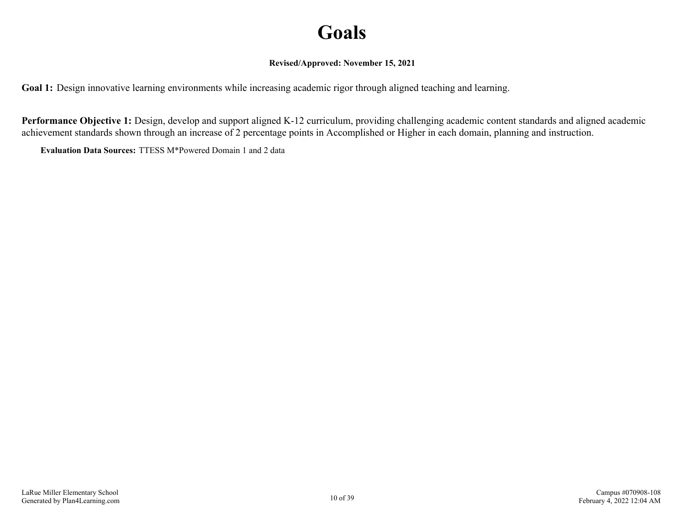## **Goals**

#### **Revised/Approved: November 15, 2021**

<span id="page-9-0"></span>**Goal 1:** Design innovative learning environments while increasing academic rigor through aligned teaching and learning.

**Performance Objective 1:** Design, develop and support aligned K-12 curriculum, providing challenging academic content standards and aligned academic achievement standards shown through an increase of 2 percentage points in Accomplished or Higher in each domain, planning and instruction.

**Evaluation Data Sources:** TTESS M\*Powered Domain 1 and 2 data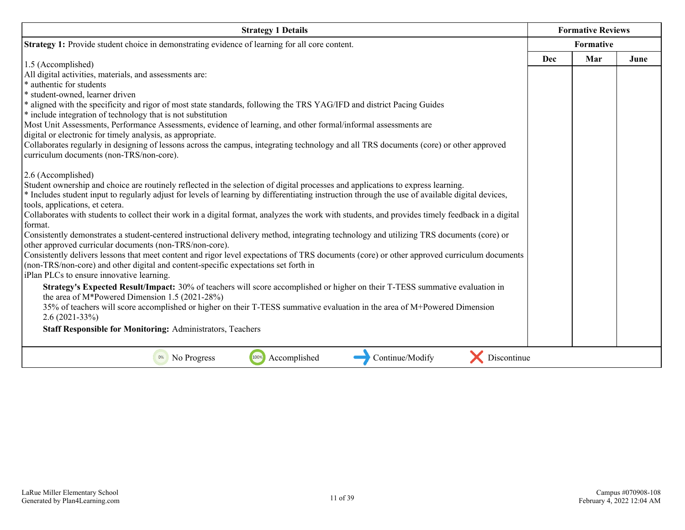| <b>Strategy 1 Details</b>                                                                                                                                                           |     | <b>Formative Reviews</b> |      |
|-------------------------------------------------------------------------------------------------------------------------------------------------------------------------------------|-----|--------------------------|------|
| <b>Strategy 1:</b> Provide student choice in demonstrating evidence of learning for all core content.                                                                               |     | Formative                |      |
| 1.5 (Accomplished)                                                                                                                                                                  | Dec | Mar                      | June |
| All digital activities, materials, and assessments are:                                                                                                                             |     |                          |      |
| * authentic for students                                                                                                                                                            |     |                          |      |
| * student-owned, learner driven                                                                                                                                                     |     |                          |      |
| * aligned with the specificity and rigor of most state standards, following the TRS YAG/IFD and district Pacing Guides                                                              |     |                          |      |
| * include integration of technology that is not substitution                                                                                                                        |     |                          |      |
| Most Unit Assessments, Performance Assessments, evidence of learning, and other formal/informal assessments are                                                                     |     |                          |      |
| digital or electronic for timely analysis, as appropriate.                                                                                                                          |     |                          |      |
| Collaborates regularly in designing of lessons across the campus, integrating technology and all TRS documents (core) or other approved                                             |     |                          |      |
| curriculum documents (non-TRS/non-core).                                                                                                                                            |     |                          |      |
| 2.6 (Accomplished)                                                                                                                                                                  |     |                          |      |
| Student ownership and choice are routinely reflected in the selection of digital processes and applications to express learning.                                                    |     |                          |      |
| * Includes student input to regularly adjust for levels of learning by differentiating instruction through the use of available digital devices,                                    |     |                          |      |
| tools, applications, et cetera.<br>Collaborates with students to collect their work in a digital format, analyzes the work with students, and provides timely feedback in a digital |     |                          |      |
| format.                                                                                                                                                                             |     |                          |      |
| Consistently demonstrates a student-centered instructional delivery method, integrating technology and utilizing TRS documents (core) or                                            |     |                          |      |
| other approved curricular documents (non-TRS/non-core).                                                                                                                             |     |                          |      |
| Consistently delivers lessons that meet content and rigor level expectations of TRS documents (core) or other approved curriculum documents                                         |     |                          |      |
| (non-TRS/non-core) and other digital and content-specific expectations set forth in                                                                                                 |     |                          |      |
| iPlan PLCs to ensure innovative learning.                                                                                                                                           |     |                          |      |
| Strategy's Expected Result/Impact: 30% of teachers will score accomplished or higher on their T-TESS summative evaluation in<br>the area of $M*$ Powered Dimension 1.5 (2021-28%)   |     |                          |      |
| 35% of teachers will score accomplished or higher on their T-TESS summative evaluation in the area of M+Powered Dimension<br>$2.6(2021-33%)$                                        |     |                          |      |
| <b>Staff Responsible for Monitoring: Administrators, Teachers</b>                                                                                                                   |     |                          |      |
| 100%<br>Continue/Modify<br>Discontinue<br>Accomplished<br>No Progress<br>0%                                                                                                         |     |                          |      |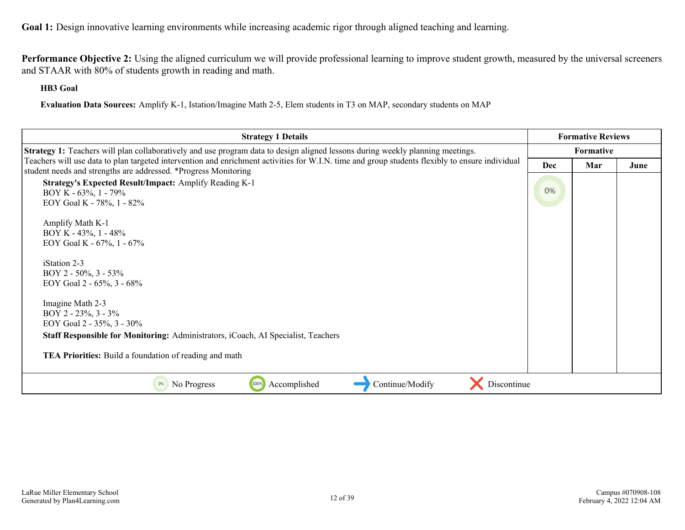**Performance Objective 2:** Using the aligned curriculum we will provide professional learning to improve student growth, measured by the universal screeners and STAAR with 80% of students growth in reading and math.

**HB3 Goal**

**Evaluation Data Sources:** Amplify K-1, Istation/Imagine Math 2-5, Elem students in T3 on MAP, secondary students on MAP

| <b>Strategy 1 Details</b>                                                                                                                                                                                                  | <b>Formative Reviews</b> |           |      |
|----------------------------------------------------------------------------------------------------------------------------------------------------------------------------------------------------------------------------|--------------------------|-----------|------|
| <b>Strategy 1:</b> Teachers will plan collaboratively and use program data to design aligned lessons during weekly planning meetings.                                                                                      |                          | Formative |      |
| Teachers will use data to plan targeted intervention and enrichment activities for W.I.N. time and group students flexibly to ensure individual<br>student needs and strengths are addressed. *Progress Monitoring         | Dec                      | Mar       | June |
| Strategy's Expected Result/Impact: Amplify Reading K-1<br>BOY K - $63\%$ , 1 - 79%<br>EOY Goal K - 78%, 1 - 82%                                                                                                            | 0%                       |           |      |
| Amplify Math K-1<br>BOY K - $43\%$ , 1 - $48\%$<br>EOY Goal K - 67%, 1 - 67%                                                                                                                                               |                          |           |      |
| iStation 2-3<br>BOY 2 - 50%, 3 - 53%<br>EOY Goal 2 - 65%, 3 - 68%                                                                                                                                                          |                          |           |      |
| Imagine Math 2-3<br>BOY 2 - 23%, 3 - 3%<br>EOY Goal 2 - 35%, 3 - 30%<br><b>Staff Responsible for Monitoring:</b> Administrators, iCoach, AI Specialist, Teachers<br>TEA Priorities: Build a foundation of reading and math |                          |           |      |
| 100%<br>Accomplished<br>Continue/Modify<br>Discontinue<br>No Progress<br>0%                                                                                                                                                |                          |           |      |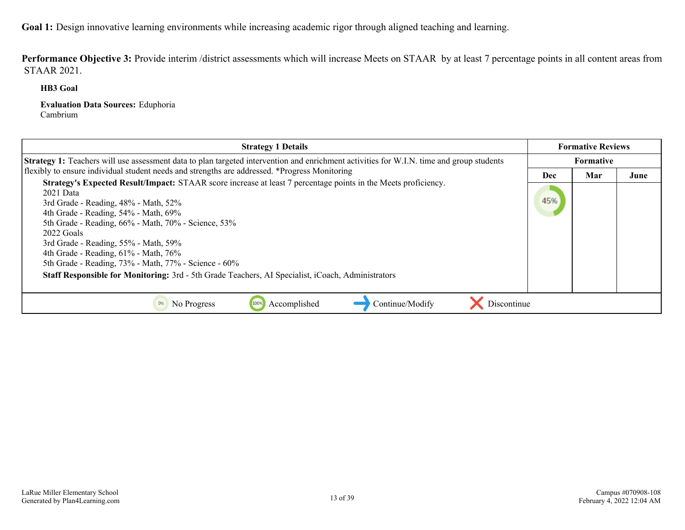Performance Objective 3: Provide interim /district assessments which will increase Meets on STAAR by at least 7 percentage points in all content areas from STAAR 2021.

**HB3 Goal**

**Evaluation Data Sources:** Eduphoria Cambrium

| <b>Strategy 1 Details</b>                                                                                                                                                                                                                                                                                                                                                                                                        |     | <b>Formative Reviews</b> |      |  |
|----------------------------------------------------------------------------------------------------------------------------------------------------------------------------------------------------------------------------------------------------------------------------------------------------------------------------------------------------------------------------------------------------------------------------------|-----|--------------------------|------|--|
| Strategy 1: Teachers will use assessment data to plan targeted intervention and enrichment activities for W.I.N. time and group students                                                                                                                                                                                                                                                                                         |     | Formative                |      |  |
| flexibly to ensure individual student needs and strengths are addressed. *Progress Monitoring                                                                                                                                                                                                                                                                                                                                    | Dec | Mar                      | June |  |
| Strategy's Expected Result/Impact: STAAR score increase at least 7 percentage points in the Meets proficiency.<br>$2021$ Data<br>3rd Grade - Reading, 48% - Math, 52%<br>4th Grade - Reading, 54% - Math, 69%<br>5th Grade - Reading, 66% - Math, 70% - Science, 53%<br>2022 Goals<br>3rd Grade - Reading, 55% - Math, 59%<br>4th Grade - Reading, $61\%$ - Math, $76\%$<br>5th Grade - Reading, 73% - Math, 77% - Science - 60% | 45% |                          |      |  |
| Staff Responsible for Monitoring: 3rd - 5th Grade Teachers, AI Specialist, iCoach, Administrators                                                                                                                                                                                                                                                                                                                                |     |                          |      |  |
| Accomplished<br>Continue/Modify<br>Discontinue<br>No Progress                                                                                                                                                                                                                                                                                                                                                                    |     |                          |      |  |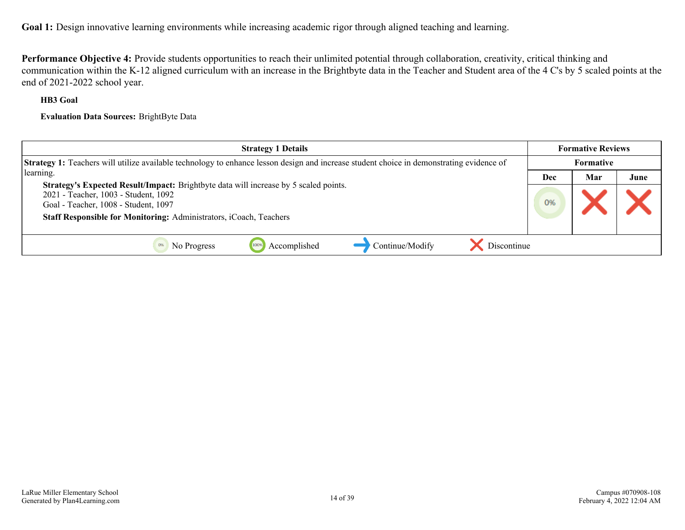**Performance Objective 4:** Provide students opportunities to reach their unlimited potential through collaboration, creativity, critical thinking and communication within the K-12 aligned curriculum with an increase in the Brightbyte data in the Teacher and Student area of the 4 C's by 5 scaled points at the end of 2021-2022 school year.

#### **HB3 Goal**

**Evaluation Data Sources:** BrightByte Data

| <b>Strategy 1 Details</b>                                                                                                                                                                                                                  |     | <b>Formative Reviews</b> |      |
|--------------------------------------------------------------------------------------------------------------------------------------------------------------------------------------------------------------------------------------------|-----|--------------------------|------|
| <b>Strategy 1:</b> Teachers will utilize available technology to enhance lesson design and increase student choice in demonstrating evidence of                                                                                            |     | Formative                |      |
| learning.                                                                                                                                                                                                                                  | Dec | Mar                      | June |
| Strategy's Expected Result/Impact: Brightbyte data will increase by 5 scaled points.<br>2021 - Teacher, 1003 - Student, 1092<br>Goal - Teacher, 1008 - Student, 1097<br>Staff Responsible for Monitoring: Administrators, iCoach, Teachers |     |                          |      |
| Continue/Modify<br>Discontinue<br>Accomplished<br>1009<br>No Progress                                                                                                                                                                      |     |                          |      |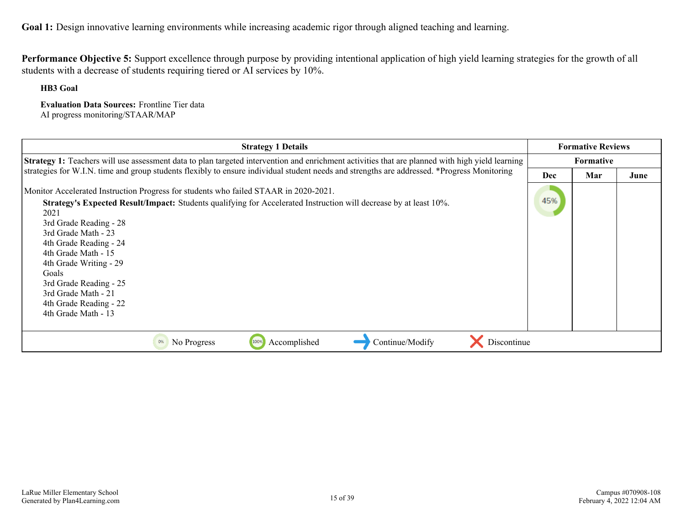**Performance Objective 5:** Support excellence through purpose by providing intentional application of high yield learning strategies for the growth of all students with a decrease of students requiring tiered or AI services by 10%.

**HB3 Goal**

**Evaluation Data Sources:** Frontline Tier data AI progress monitoring/STAAR/MAP

| <b>Strategy 1 Details</b>                                                                                                                              |            | <b>Formative Reviews</b> |      |
|--------------------------------------------------------------------------------------------------------------------------------------------------------|------------|--------------------------|------|
| <b>Strategy 1:</b> Teachers will use assessment data to plan targeted intervention and enrichment activities that are planned with high yield learning |            | <b>Formative</b>         |      |
| strategies for W.I.N. time and group students flexibly to ensure individual student needs and strengths are addressed. *Progress Monitoring            | <b>Dec</b> | Mar                      | June |
| Monitor Accelerated Instruction Progress for students who failed STAAR in 2020-2021.                                                                   |            |                          |      |
| Strategy's Expected Result/Impact: Students qualifying for Accelerated Instruction will decrease by at least 10%.<br>2021                              | 45%        |                          |      |
| 3rd Grade Reading - 28                                                                                                                                 |            |                          |      |
| 3rd Grade Math - 23                                                                                                                                    |            |                          |      |
| 4th Grade Reading - 24<br>4th Grade Math - 15                                                                                                          |            |                          |      |
| 4th Grade Writing - 29                                                                                                                                 |            |                          |      |
| Goals<br>3rd Grade Reading - 25                                                                                                                        |            |                          |      |
| 3rd Grade Math - 21                                                                                                                                    |            |                          |      |
| 4th Grade Reading - 22<br>4th Grade Math - 13                                                                                                          |            |                          |      |
|                                                                                                                                                        |            |                          |      |
| Continue/Modify<br>Discontinue<br>Accomplished<br>0%<br>No Progress<br>100%                                                                            |            |                          |      |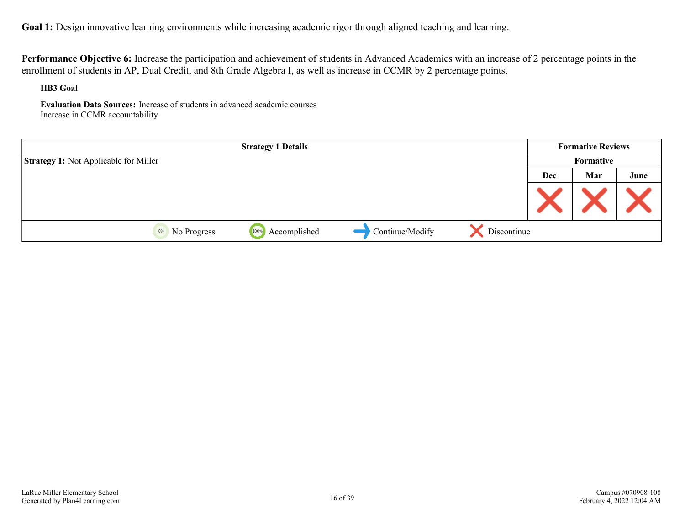**Performance Objective 6:** Increase the participation and achievement of students in Advanced Academics with an increase of 2 percentage points in the enrollment of students in AP, Dual Credit, and 8th Grade Algebra I, as well as increase in CCMR by 2 percentage points.

**HB3 Goal**

**Evaluation Data Sources:** Increase of students in advanced academic courses Increase in CCMR accountability

|                                              | <b>Strategy 1 Details</b> |                 |             |     | <b>Formative Reviews</b> |      |
|----------------------------------------------|---------------------------|-----------------|-------------|-----|--------------------------|------|
| <b>Strategy 1:</b> Not Applicable for Miller |                           |                 |             |     | Formative                |      |
|                                              |                           |                 |             | Dec | Mar                      | June |
|                                              |                           |                 |             |     |                          |      |
| 0%<br>No Progress                            | Accomplished<br>100%      | Continue/Modify | Discontinue |     |                          |      |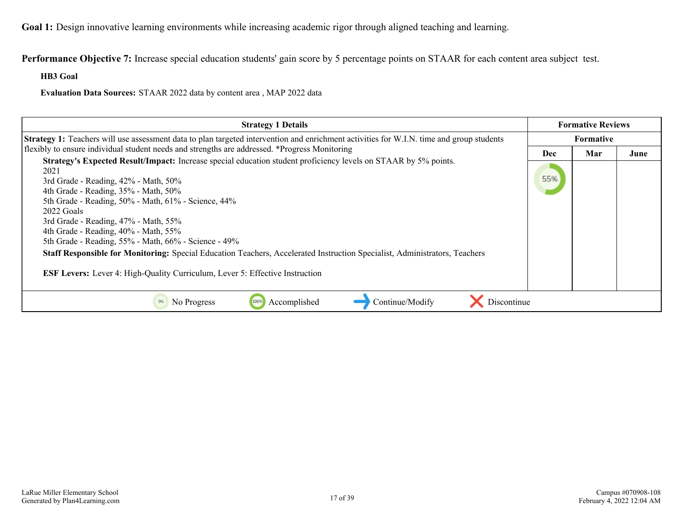**Performance Objective 7:** Increase special education students' gain score by 5 percentage points on STAAR for each content area subject test.

**HB3 Goal**

**Evaluation Data Sources:** STAAR 2022 data by content area , MAP 2022 data

| <b>Strategy 1 Details</b>                                                                                                                                                                                                                                                                                                                                                                                                                                                                                                                                                                                                                        |           | <b>Formative Reviews</b> |      |  |
|--------------------------------------------------------------------------------------------------------------------------------------------------------------------------------------------------------------------------------------------------------------------------------------------------------------------------------------------------------------------------------------------------------------------------------------------------------------------------------------------------------------------------------------------------------------------------------------------------------------------------------------------------|-----------|--------------------------|------|--|
| Strategy 1: Teachers will use assessment data to plan targeted intervention and enrichment activities for W.I.N. time and group students                                                                                                                                                                                                                                                                                                                                                                                                                                                                                                         | Formative |                          |      |  |
| flexibly to ensure individual student needs and strengths are addressed. *Progress Monitoring                                                                                                                                                                                                                                                                                                                                                                                                                                                                                                                                                    | Dec       | Mar                      | June |  |
| <b>Strategy's Expected Result/Impact:</b> Increase special education student proficiency levels on STAAR by 5% points.<br>2021<br>3rd Grade - Reading, 42% - Math, 50%<br>4th Grade - Reading, 35% - Math, 50%<br>5th Grade - Reading, 50% - Math, 61% - Science, 44%<br>2022 Goals<br>3rd Grade - Reading, 47% - Math, 55%<br>4th Grade - Reading, 40% - Math, 55%<br>5th Grade - Reading, 55% - Math, 66% - Science - 49%<br>Staff Responsible for Monitoring: Special Education Teachers, Accelerated Instruction Specialist, Administrators, Teachers<br><b>ESF Levers:</b> Lever 4: High-Quality Curriculum, Lever 5: Effective Instruction | 55%       |                          |      |  |
| Discontinue<br>Continue/Modify<br>No Progress<br>Accomplished<br>100%                                                                                                                                                                                                                                                                                                                                                                                                                                                                                                                                                                            |           |                          |      |  |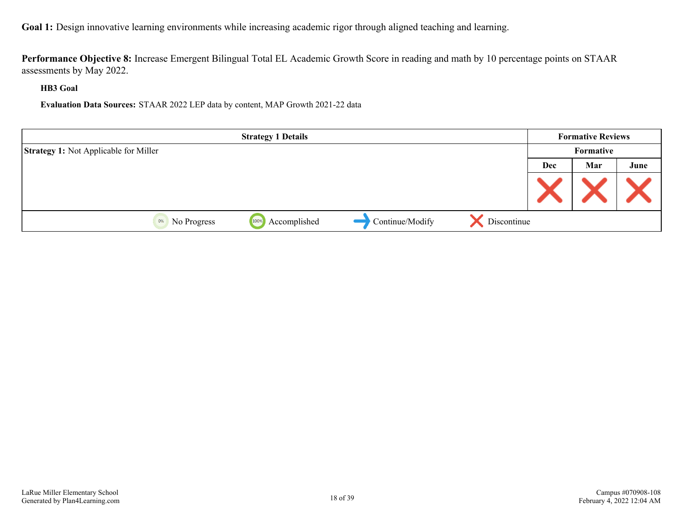**Performance Objective 8:** Increase Emergent Bilingual Total EL Academic Growth Score in reading and math by 10 percentage points on STAAR assessments by May 2022.

**HB3 Goal**

**Evaluation Data Sources:** STAAR 2022 LEP data by content, MAP Growth 2021-22 data

|                                              | <b>Strategy 1 Details</b> |                 |             |            | <b>Formative Reviews</b> |      |
|----------------------------------------------|---------------------------|-----------------|-------------|------------|--------------------------|------|
| <b>Strategy 1:</b> Not Applicable for Miller |                           |                 |             |            | Formative                |      |
|                                              |                           |                 |             | <b>Dec</b> | Mar                      | June |
|                                              |                           |                 |             |            |                          |      |
| 0%<br>No Progress                            | Accomplished<br>100%      | Continue/Modify | Discontinue |            |                          |      |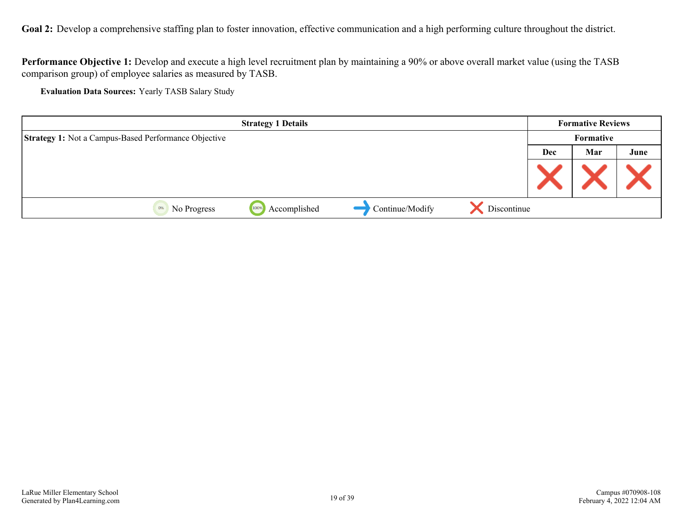<span id="page-18-0"></span>Goal 2: Develop a comprehensive staffing plan to foster innovation, effective communication and a high performing culture throughout the district.

**Performance Objective 1:** Develop and execute a high level recruitment plan by maintaining a 90% or above overall market value (using the TASB comparison group) of employee salaries as measured by TASB.

**Evaluation Data Sources:** Yearly TASB Salary Study

|                                                             | <b>Strategy 1 Details</b> |                 |             |     | <b>Formative Reviews</b> |      |
|-------------------------------------------------------------|---------------------------|-----------------|-------------|-----|--------------------------|------|
| <b>Strategy 1: Not a Campus-Based Performance Objective</b> |                           |                 |             |     | Formative                |      |
|                                                             |                           |                 |             | Dec | Mar                      | June |
|                                                             |                           |                 |             |     |                          |      |
| No Progress<br>0%                                           | Accomplished<br>100%      | Continue/Modify | Discontinue |     |                          |      |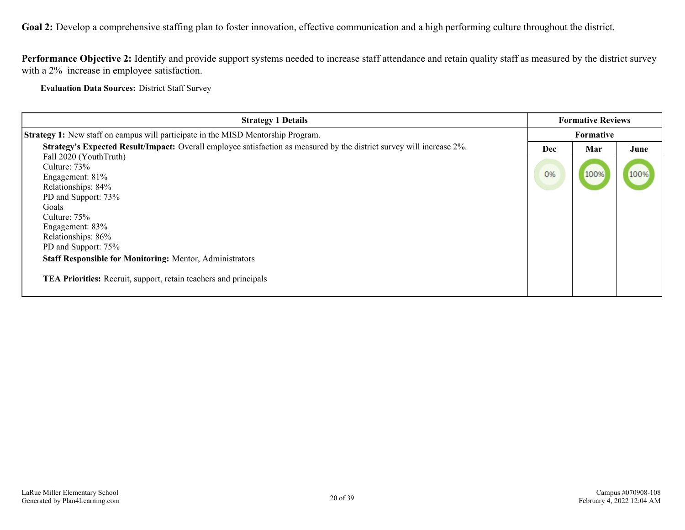**Goal 2:** Develop a comprehensive staffing plan to foster innovation, effective communication and a high performing culture throughout the district.

**Performance Objective 2:** Identify and provide support systems needed to increase staff attendance and retain quality staff as measured by the district survey with a 2% increase in employee satisfaction.

**Evaluation Data Sources:** District Staff Survey

| <b>Strategy 1 Details</b>                                                                                             |     | <b>Formative Reviews</b> |      |
|-----------------------------------------------------------------------------------------------------------------------|-----|--------------------------|------|
| <b>Strategy 1:</b> New staff on campus will participate in the MISD Mentorship Program.                               |     | <b>Formative</b>         |      |
| Strategy's Expected Result/Impact: Overall employee satisfaction as measured by the district survey will increase 2%. | Dec | Mar                      | June |
| Fall 2020 (YouthTruth)                                                                                                |     |                          |      |
| Culture: 73%                                                                                                          | 0%  |                          |      |
| Engagement: 81%                                                                                                       |     | 100%                     | 100% |
| Relationships: 84%                                                                                                    |     |                          |      |
| PD and Support: 73%                                                                                                   |     |                          |      |
| Goals                                                                                                                 |     |                          |      |
| Culture: 75%                                                                                                          |     |                          |      |
| Engagement: 83%                                                                                                       |     |                          |      |
| Relationships: 86%                                                                                                    |     |                          |      |
| PD and Support: 75%                                                                                                   |     |                          |      |
| <b>Staff Responsible for Monitoring: Mentor, Administrators</b>                                                       |     |                          |      |
| TEA Priorities: Recruit, support, retain teachers and principals                                                      |     |                          |      |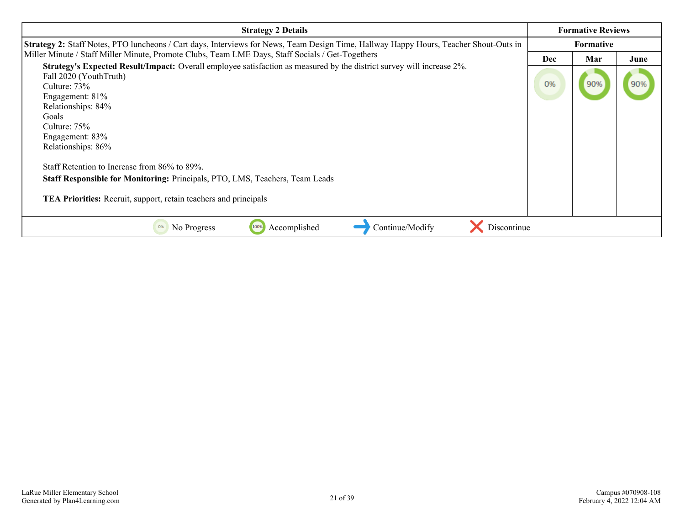| <b>Strategy 2 Details</b>                                                                                                                                                                                                                                                                                                                                                                                                                                                                                 |                  | <b>Formative Reviews</b> |      |
|-----------------------------------------------------------------------------------------------------------------------------------------------------------------------------------------------------------------------------------------------------------------------------------------------------------------------------------------------------------------------------------------------------------------------------------------------------------------------------------------------------------|------------------|--------------------------|------|
| Strategy 2: Staff Notes, PTO luncheons / Cart days, Interviews for News, Team Design Time, Hallway Happy Hours, Teacher Shout-Outs in                                                                                                                                                                                                                                                                                                                                                                     | <b>Formative</b> |                          |      |
| Miller Minute / Staff Miller Minute, Promote Clubs, Team LME Days, Staff Socials / Get-Togethers                                                                                                                                                                                                                                                                                                                                                                                                          |                  | Mar                      | June |
| <b>Strategy's Expected Result/Impact:</b> Overall employee satisfaction as measured by the district survey will increase 2%.<br>Fall 2020 (YouthTruth)<br>Culture: $73\%$<br>Engagement: 81%<br>Relationships: 84%<br>Goals<br>Culture: $75\%$<br>Engagement: 83%<br>Relationships: 86%<br>Staff Retention to Increase from 86% to 89%.<br><b>Staff Responsible for Monitoring: Principals, PTO, LMS, Teachers, Team Leads</b><br><b>TEA Priorities:</b> Recruit, support, retain teachers and principals | 0%               | 90%                      | 90%  |
| Discontinue<br>Accomplished<br>Continue/Modify<br>No Progress<br>100%<br>0%                                                                                                                                                                                                                                                                                                                                                                                                                               |                  |                          |      |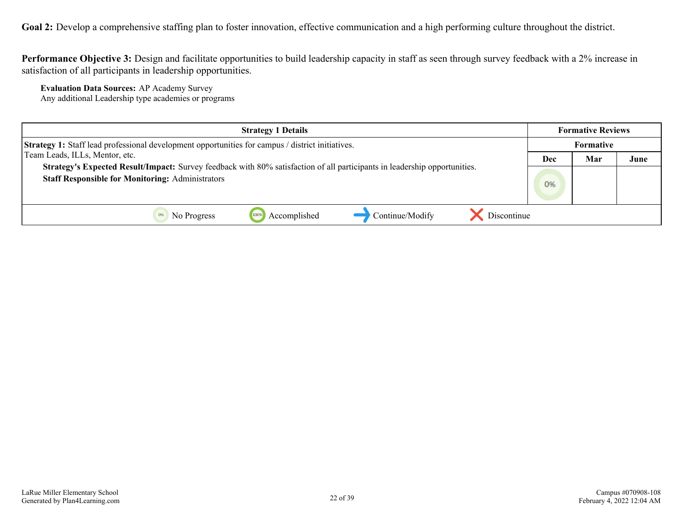Goal 2: Develop a comprehensive staffing plan to foster innovation, effective communication and a high performing culture throughout the district.

**Performance Objective 3:** Design and facilitate opportunities to build leadership capacity in staff as seen through survey feedback with a 2% increase in satisfaction of all participants in leadership opportunities.

**Evaluation Data Sources:** AP Academy Survey Any additional Leadership type academies or programs

| <b>Strategy 1 Details</b>                                                                                                                                                            | <b>Formative Reviews</b> |     |      |
|--------------------------------------------------------------------------------------------------------------------------------------------------------------------------------------|--------------------------|-----|------|
| <b>Strategy 1:</b> Staff lead professional development opportunities for campus / district initiatives.                                                                              | Formative                |     |      |
| Team Leads, ILLs, Mentor, etc.                                                                                                                                                       | Dec                      | Mar | June |
| Strategy's Expected Result/Impact: Survey feedback with 80% satisfaction of all participants in leadership opportunities.<br><b>Staff Responsible for Monitoring: Administrators</b> | 0%                       |     |      |
|                                                                                                                                                                                      |                          |     |      |
| Discontinue<br>Continue/Modify<br>Accomplished<br>No Progress                                                                                                                        |                          |     |      |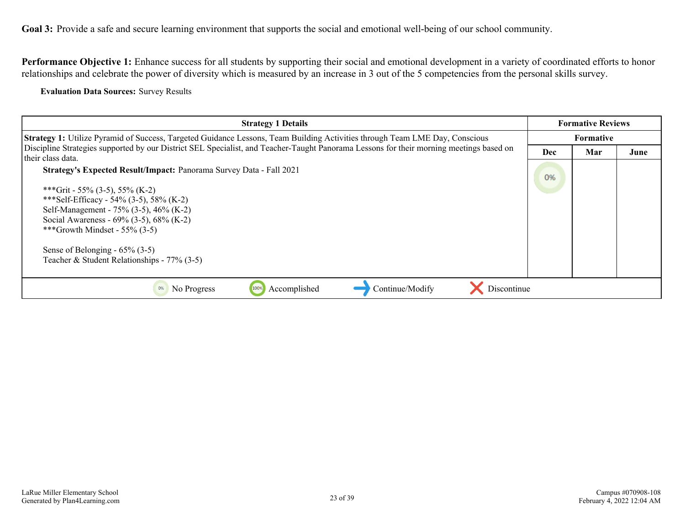<span id="page-22-0"></span>Performance Objective 1: Enhance success for all students by supporting their social and emotional development in a variety of coordinated efforts to honor relationships and celebrate the power of diversity which is measured by an increase in 3 out of the 5 competencies from the personal skills survey.

**Evaluation Data Sources:** Survey Results

| <b>Strategy 1 Details</b>                                                                                                                                    |     | <b>Formative Reviews</b> |      |  |
|--------------------------------------------------------------------------------------------------------------------------------------------------------------|-----|--------------------------|------|--|
| Strategy 1: Utilize Pyramid of Success, Targeted Guidance Lessons, Team Building Activities through Team LME Day, Conscious                                  |     | <b>Formative</b>         |      |  |
| Discipline Strategies supported by our District SEL Specialist, and Teacher-Taught Panorama Lessons for their morning meetings based on<br>their class data. | Dec | Mar                      | June |  |
| <b>Strategy's Expected Result/Impact: Panorama Survey Data - Fall 2021</b>                                                                                   | 0%  |                          |      |  |
| ***Grit - 55% (3-5), 55% (K-2)<br>***Self-Efficacy - 54% (3-5), 58% (K-2)                                                                                    |     |                          |      |  |
| Self-Management - 75% (3-5), 46% (K-2)<br>Social Awareness - 69% (3-5), 68% (K-2)<br>***Growth Mindset - 55% $(3-5)$                                         |     |                          |      |  |
| Sense of Belonging - $65\%$ (3-5)<br>Teacher & Student Relationships - 77% (3-5)                                                                             |     |                          |      |  |
| Continue/Modify<br>Discontinue<br>Accomplished<br>No Progress<br>0%<br>100%                                                                                  |     |                          |      |  |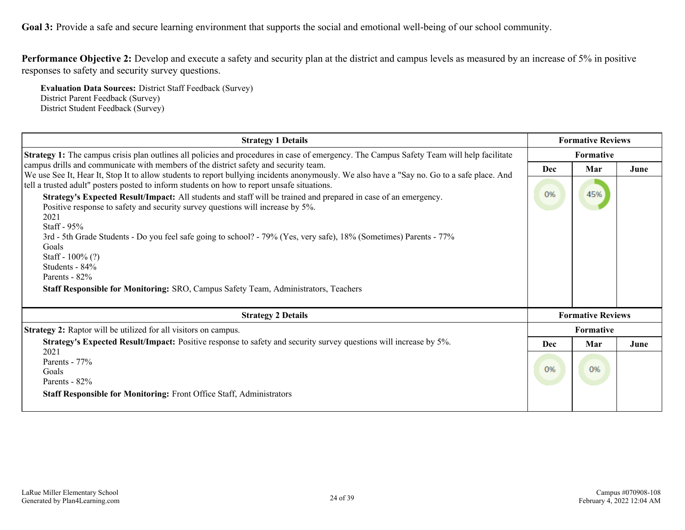**Performance Objective 2:** Develop and execute a safety and security plan at the district and campus levels as measured by an increase of 5% in positive responses to safety and security survey questions.

**Evaluation Data Sources:** District Staff Feedback (Survey) District Parent Feedback (Survey) District Student Feedback (Survey)

| <b>Strategy 1 Details</b>                                                                                                                                                                                                                                                                                                                                                                                                                                                                                                                                                                                                                                                                                                                                |                  | <b>Formative Reviews</b> |      |  |
|----------------------------------------------------------------------------------------------------------------------------------------------------------------------------------------------------------------------------------------------------------------------------------------------------------------------------------------------------------------------------------------------------------------------------------------------------------------------------------------------------------------------------------------------------------------------------------------------------------------------------------------------------------------------------------------------------------------------------------------------------------|------------------|--------------------------|------|--|
| <b>Strategy 1:</b> The campus crisis plan outlines all policies and procedures in case of emergency. The Campus Safety Team will help facilitate                                                                                                                                                                                                                                                                                                                                                                                                                                                                                                                                                                                                         | <b>Formative</b> |                          |      |  |
| campus drills and communicate with members of the district safety and security team.                                                                                                                                                                                                                                                                                                                                                                                                                                                                                                                                                                                                                                                                     | Dec              | Mar                      | June |  |
| We use See It, Hear It, Stop It to allow students to report bullying incidents anonymously. We also have a "Say no. Go to a safe place. And<br>tell a trusted adult" posters posted to inform students on how to report unsafe situations.<br>Strategy's Expected Result/Impact: All students and staff will be trained and prepared in case of an emergency.<br>Positive response to safety and security survey questions will increase by 5%.<br>2021<br>Staff - $95%$<br>3rd - 5th Grade Students - Do you feel safe going to school? - 79% (Yes, very safe), 18% (Sometimes) Parents - 77%<br>Goals<br>Staff - $100\%$ (?)<br>Students - 84%<br>Parents - 82%<br>Staff Responsible for Monitoring: SRO, Campus Safety Team, Administrators, Teachers |                  | 45%                      |      |  |
| <b>Strategy 2 Details</b>                                                                                                                                                                                                                                                                                                                                                                                                                                                                                                                                                                                                                                                                                                                                |                  | <b>Formative Reviews</b> |      |  |
| <b>Strategy 2:</b> Raptor will be utilized for all visitors on campus.                                                                                                                                                                                                                                                                                                                                                                                                                                                                                                                                                                                                                                                                                   |                  | Formative                |      |  |
| <b>Strategy's Expected Result/Impact:</b> Positive response to safety and security survey questions will increase by 5%.                                                                                                                                                                                                                                                                                                                                                                                                                                                                                                                                                                                                                                 | Dec              | Mar                      | June |  |
| 2021<br>Parents - 77%<br>Goals<br>Parents - 82%<br><b>Staff Responsible for Monitoring: Front Office Staff, Administrators</b>                                                                                                                                                                                                                                                                                                                                                                                                                                                                                                                                                                                                                           | 0%               | 0%                       |      |  |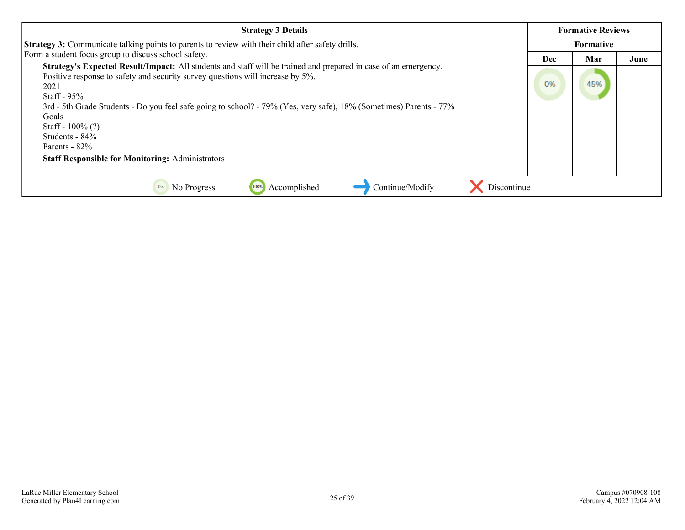| <b>Strategy 3 Details</b>                                                                                                                                                                                                                                                                                                                                                                                                                                                                 |     | <b>Formative Reviews</b> |      |  |
|-------------------------------------------------------------------------------------------------------------------------------------------------------------------------------------------------------------------------------------------------------------------------------------------------------------------------------------------------------------------------------------------------------------------------------------------------------------------------------------------|-----|--------------------------|------|--|
| Strategy 3: Communicate talking points to parents to review with their child after safety drills.                                                                                                                                                                                                                                                                                                                                                                                         |     | <b>Formative</b>         |      |  |
| Form a student focus group to discuss school safety.                                                                                                                                                                                                                                                                                                                                                                                                                                      | Dec | Mar                      | June |  |
| <b>Strategy's Expected Result/Impact:</b> All students and staff will be trained and prepared in case of an emergency.<br>Positive response to safety and security survey questions will increase by 5%.<br>2021<br>Staff - $95\%$<br>3rd - 5th Grade Students - Do you feel safe going to school? - 79% (Yes, very safe), 18% (Sometimes) Parents - 77%<br>Goals<br>Staff - $100\%$ (?)<br>Students - 84%<br>Parents - $82\%$<br><b>Staff Responsible for Monitoring: Administrators</b> |     | 45%                      |      |  |
| Continue/Modify<br>Discontinue<br>Accomplished<br>0%<br>No Progress<br>100%                                                                                                                                                                                                                                                                                                                                                                                                               |     |                          |      |  |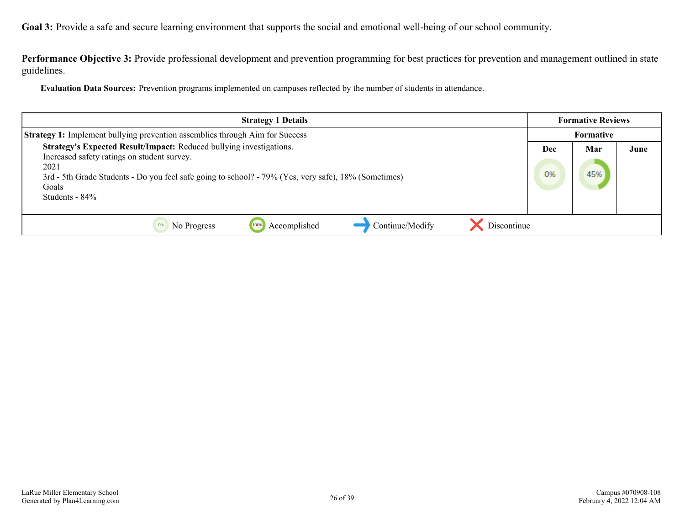**Performance Objective 3:** Provide professional development and prevention programming for best practices for prevention and management outlined in state guidelines.

**Evaluation Data Sources:** Prevention programs implemented on campuses reflected by the number of students in attendance.

| <b>Strategy 1 Details</b>                                                                                                                                                                                                                                        |  | <b>Formative Reviews</b> |      |  |
|------------------------------------------------------------------------------------------------------------------------------------------------------------------------------------------------------------------------------------------------------------------|--|--------------------------|------|--|
| <b>Strategy 1:</b> Implement bullying prevention assemblies through Aim for Success                                                                                                                                                                              |  | <b>Formative</b>         |      |  |
| Strategy's Expected Result/Impact: Reduced bullying investigations.<br>Increased safety ratings on student survey.<br>2021<br>3rd - 5th Grade Students - Do you feel safe going to school? - 79% (Yes, very safe), 18% (Sometimes)<br>Goals<br>Students - $84\%$ |  | Mar<br>45%               | June |  |
| Discontinue<br>Continue/Modify<br>Accomplished<br>No Progress<br>1009                                                                                                                                                                                            |  |                          |      |  |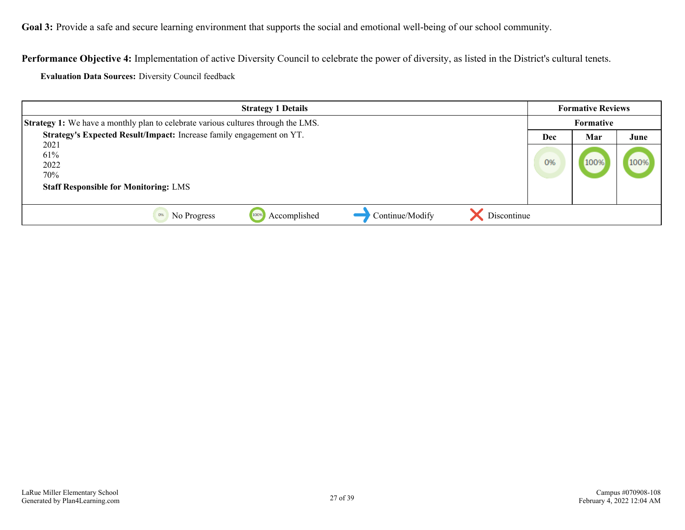**Performance Objective 4:** Implementation of active Diversity Council to celebrate the power of diversity, as listed in the District's cultural tenets.

**Evaluation Data Sources:** Diversity Council feedback

| <b>Strategy 1 Details</b>                                                                | <b>Formative Reviews</b> |           |      |
|------------------------------------------------------------------------------------------|--------------------------|-----------|------|
| <b>Strategy 1:</b> We have a monthly plan to celebrate various cultures through the LMS. |                          | Formative |      |
| Strategy's Expected Result/Impact: Increase family engagement on YT.                     | Dec                      | Mar       | June |
| 2021<br>61%<br>2022<br>70%                                                               | 0%                       | 100%      | 100% |
| <b>Staff Responsible for Monitoring: LMS</b>                                             |                          |           |      |
| Discontinue<br>Continue/Modify<br>Accomplished<br>0%<br>No Progress<br>1009              |                          |           |      |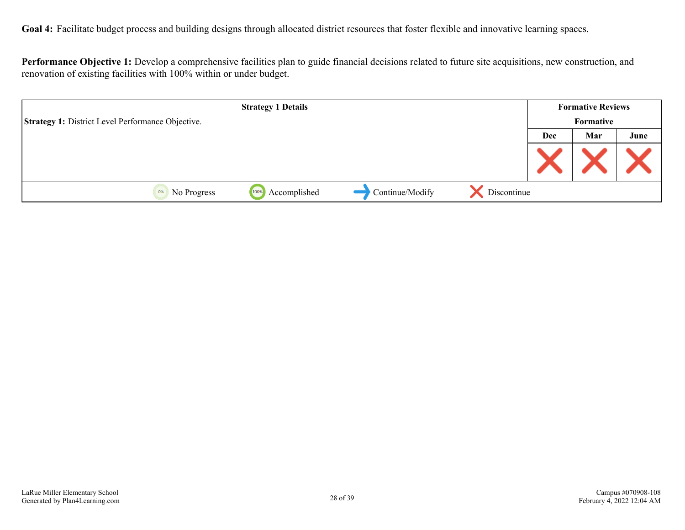<span id="page-27-0"></span>Goal 4: Facilitate budget process and building designs through allocated district resources that foster flexible and innovative learning spaces.

**Performance Objective 1:** Develop a comprehensive facilities plan to guide financial decisions related to future site acquisitions, new construction, and renovation of existing facilities with 100% within or under budget.

| <b>Strategy 1 Details</b>                                |                      |                 | <b>Formative Reviews</b> |            |           |      |
|----------------------------------------------------------|----------------------|-----------------|--------------------------|------------|-----------|------|
| <b>Strategy 1: District Level Performance Objective.</b> |                      |                 |                          |            | Formative |      |
|                                                          |                      |                 |                          | <b>Dec</b> | Mar       | June |
|                                                          |                      |                 |                          |            |           |      |
| 0%<br>No Progress                                        | Accomplished<br>100% | Continue/Modify | Discontinue              |            |           |      |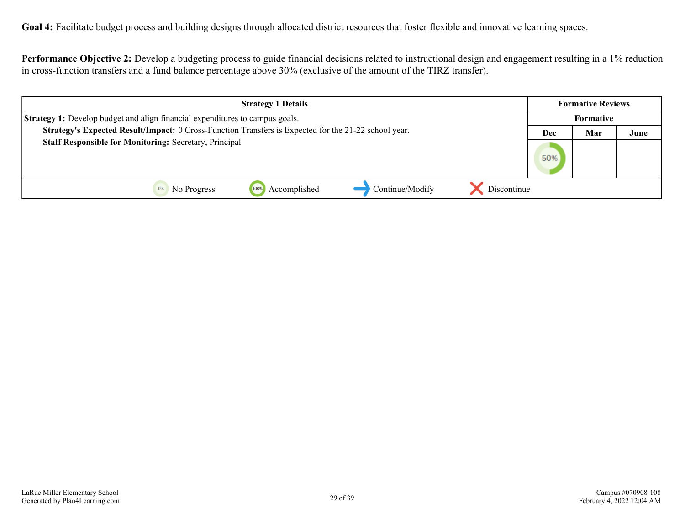**Goal 4:** Facilitate budget process and building designs through allocated district resources that foster flexible and innovative learning spaces.

**Performance Objective 2:** Develop a budgeting process to guide financial decisions related to instructional design and engagement resulting in a 1% reduction in cross-function transfers and a fund balance percentage above 30% (exclusive of the amount of the TIRZ transfer).

| <b>Strategy 1 Details</b>                                                                            |     |     | <b>Formative Reviews</b> |  |  |
|------------------------------------------------------------------------------------------------------|-----|-----|--------------------------|--|--|
| <b>Strategy 1:</b> Develop budget and align financial expenditures to campus goals.                  |     |     | Formative                |  |  |
| Strategy's Expected Result/Impact: 0 Cross-Function Transfers is Expected for the 21-22 school year. | Dec | Mar | June                     |  |  |
| <b>Staff Responsible for Monitoring: Secretary, Principal</b>                                        | 50% |     |                          |  |  |
| Accomplished<br>Continue/Modify<br>Discontinue<br>1009<br>No Progress                                |     |     |                          |  |  |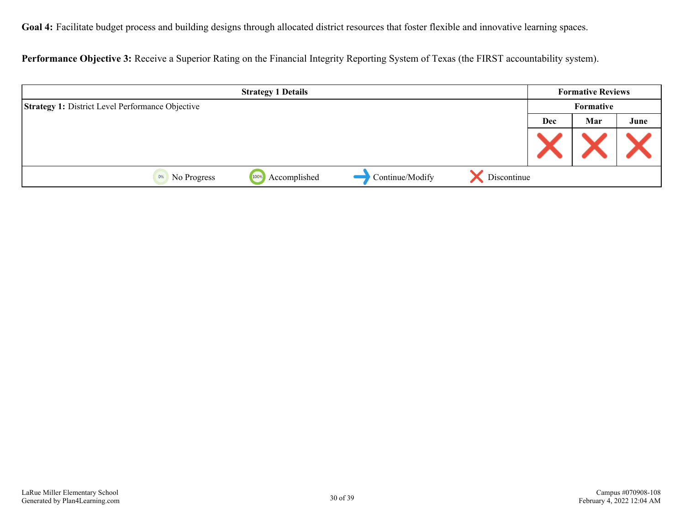**Goal 4:** Facilitate budget process and building designs through allocated district resources that foster flexible and innovative learning spaces.

**Performance Objective 3:** Receive a Superior Rating on the Financial Integrity Reporting System of Texas (the FIRST accountability system).

| <b>Strategy 1 Details</b>                               |              |                 | <b>Formative Reviews</b> |           |     |      |
|---------------------------------------------------------|--------------|-----------------|--------------------------|-----------|-----|------|
| <b>Strategy 1: District Level Performance Objective</b> |              |                 |                          | Formative |     |      |
|                                                         |              |                 |                          | Dec       | Mar | June |
|                                                         |              |                 |                          |           |     |      |
| 100%<br>0%<br>No Progress                               | Accomplished | Continue/Modify | Discontinue              |           |     |      |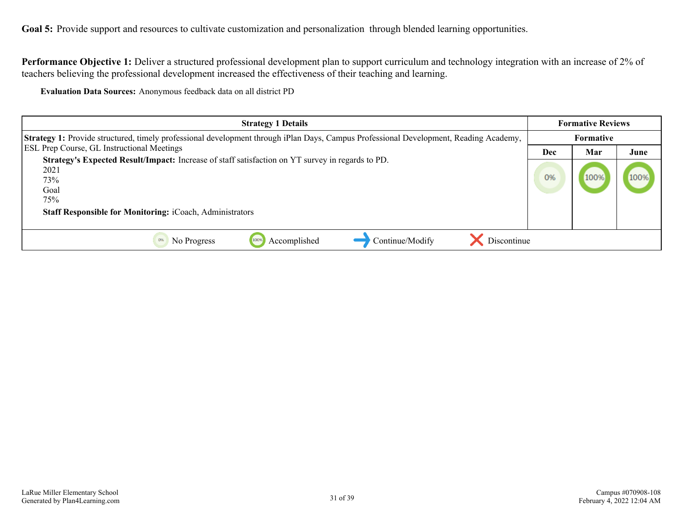<span id="page-30-0"></span>Goal 5: Provide support and resources to cultivate customization and personalization through blended learning opportunities.

**Performance Objective 1:** Deliver a structured professional development plan to support curriculum and technology integration with an increase of 2% of teachers believing the professional development increased the effectiveness of their teaching and learning.

**Evaluation Data Sources:** Anonymous feedback data on all district PD

| <b>Strategy 1 Details</b>                                                                                                                                                           | <b>Formative Reviews</b> |                  |      |
|-------------------------------------------------------------------------------------------------------------------------------------------------------------------------------------|--------------------------|------------------|------|
| Strategy 1: Provide structured, timely professional development through iPlan Days, Campus Professional Development, Reading Academy,                                               |                          | <b>Formative</b> |      |
| <b>ESL Prep Course, GL Instructional Meetings</b><br>Strategy's Expected Result/Impact: Increase of staff satisfaction on YT survey in regards to PD.<br>2021<br>73%<br>Goal<br>75% |                          | Mar              | June |
|                                                                                                                                                                                     |                          |                  |      |
| <b>Staff Responsible for Monitoring: iCoach, Administrators</b>                                                                                                                     |                          |                  |      |
| Discontinue<br>Accomplished<br>Continue/Modify<br>No Progress                                                                                                                       |                          |                  |      |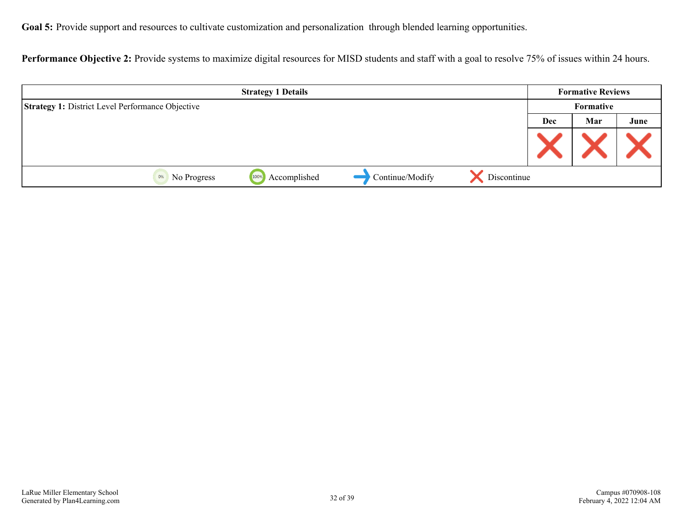Goal 5: Provide support and resources to cultivate customization and personalization through blended learning opportunities.

Performance Objective 2: Provide systems to maximize digital resources for MISD students and staff with a goal to resolve 75% of issues within 24 hours.

| <b>Strategy 1 Details</b>                               |              |                 | <b>Formative Reviews</b> |           |     |      |
|---------------------------------------------------------|--------------|-----------------|--------------------------|-----------|-----|------|
| <b>Strategy 1: District Level Performance Objective</b> |              |                 |                          | Formative |     |      |
|                                                         |              |                 |                          | Dec       | Mar | June |
|                                                         |              |                 |                          |           |     |      |
| 100%<br>0%<br>No Progress                               | Accomplished | Continue/Modify | Discontinue              |           |     |      |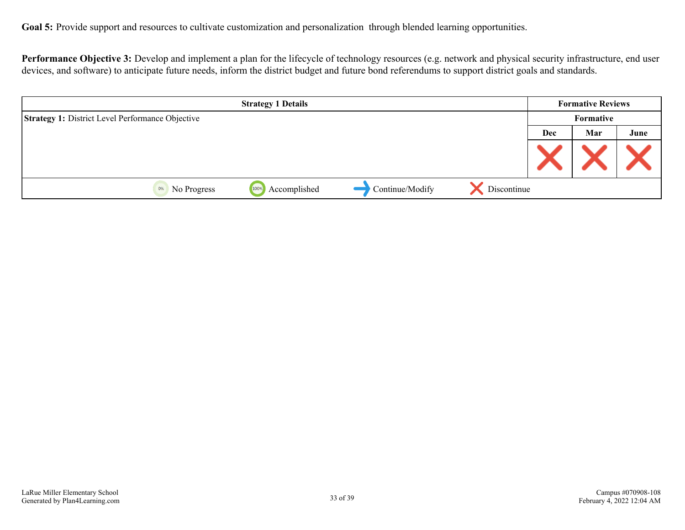Goal 5: Provide support and resources to cultivate customization and personalization through blended learning opportunities.

Performance Objective 3: Develop and implement a plan for the lifecycle of technology resources (e.g. network and physical security infrastructure, end user devices, and software) to anticipate future needs, inform the district budget and future bond referendums to support district goals and standards.

| <b>Strategy 1 Details</b>                               |                      |                 | <b>Formative Reviews</b> |           |     |      |
|---------------------------------------------------------|----------------------|-----------------|--------------------------|-----------|-----|------|
| <b>Strategy 1: District Level Performance Objective</b> |                      |                 |                          | Formative |     |      |
|                                                         |                      |                 |                          | Dec       | Mar | June |
|                                                         |                      |                 |                          |           |     |      |
| No Progress<br>0%                                       | Accomplished<br>100% | Continue/Modify | Discontinue              |           |     |      |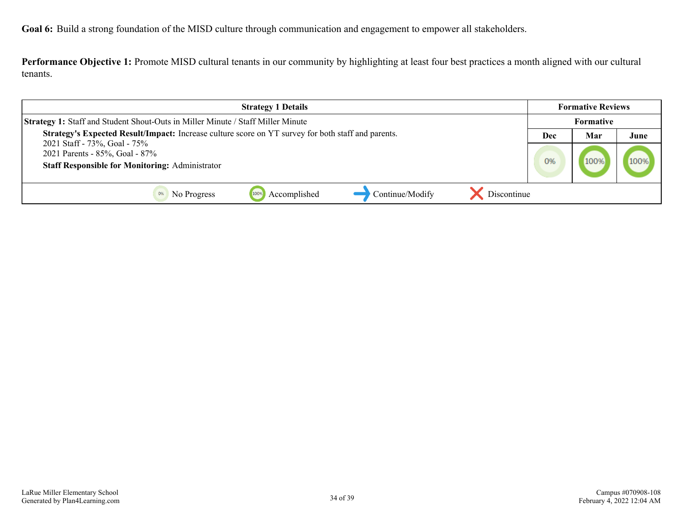<span id="page-33-0"></span>**Performance Objective 1:** Promote MISD cultural tenants in our community by highlighting at least four best practices a month aligned with our cultural tenants.

| <b>Strategy 1 Details</b>                                                                                                |     | <b>Formative Reviews</b> |      |
|--------------------------------------------------------------------------------------------------------------------------|-----|--------------------------|------|
| <b>Strategy 1: Staff and Student Shout-Outs in Miller Minute / Staff Miller Minute</b>                                   |     | Formative                |      |
| <b>Strategy's Expected Result/Impact:</b> Increase culture score on YT survey for both staff and parents.                | Dec | Mar                      | June |
| 2021 Staff - 73%, Goal - 75%<br>2021 Parents - 85%, Goal - 87%<br><b>Staff Responsible for Monitoring: Administrator</b> | 0%  |                          | 100% |
| Continue/Modify<br>Discontinue<br>Accomplished<br>100%<br>No Progress                                                    |     |                          |      |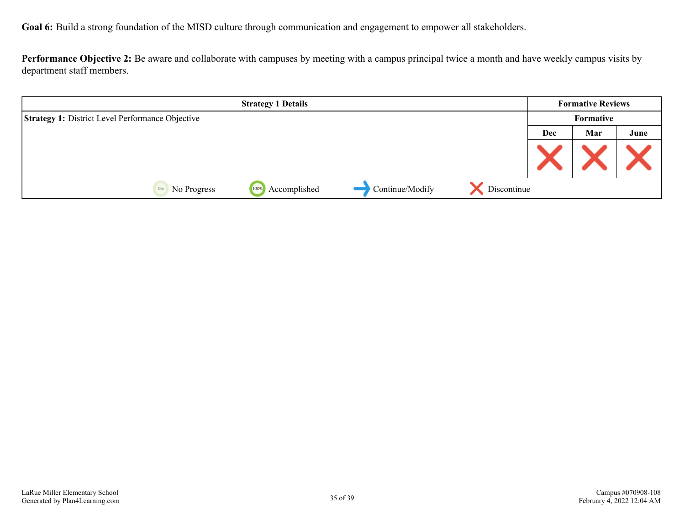**Performance Objective 2:** Be aware and collaborate with campuses by meeting with a campus principal twice a month and have weekly campus visits by department staff members.

|                                                         | <b>Strategy 1 Details</b> |                 |             |     | <b>Formative Reviews</b> |      |
|---------------------------------------------------------|---------------------------|-----------------|-------------|-----|--------------------------|------|
| <b>Strategy 1: District Level Performance Objective</b> |                           |                 |             |     | Formative                |      |
|                                                         |                           |                 |             | Dec | Mar                      | June |
|                                                         |                           |                 |             |     |                          |      |
| No Progress<br>0%                                       | Accomplished<br>100%      | Continue/Modify | Discontinue |     |                          |      |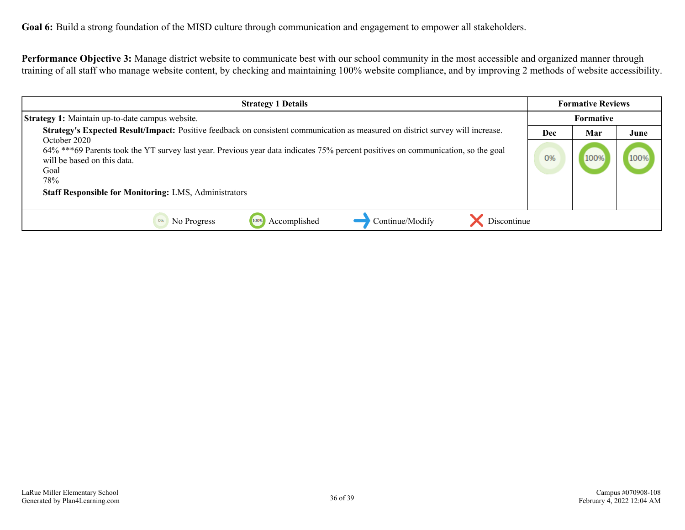**Performance Objective 3:** Manage district website to communicate best with our school community in the most accessible and organized manner through training of all staff who manage website content, by checking and maintaining 100% website compliance, and by improving 2 methods of website accessibility.

| <b>Strategy 1 Details</b>                                                                                                                                                                                                                                                                                                 |  | <b>Formative Reviews</b> |      |
|---------------------------------------------------------------------------------------------------------------------------------------------------------------------------------------------------------------------------------------------------------------------------------------------------------------------------|--|--------------------------|------|
| <b>Strategy 1:</b> Maintain up-to-date campus website.                                                                                                                                                                                                                                                                    |  | Formative                |      |
| Strategy's Expected Result/Impact: Positive feedback on consistent communication as measured on district survey will increase.<br>October 2020<br>64% ***69 Parents took the YT survey last year. Previous year data indicates 75% percent positives on communication, so the goal<br>will be based on this data.<br>Goal |  | Mar<br>100%              | June |
| 78%<br><b>Staff Responsible for Monitoring: LMS, Administrators</b><br>Accomplished<br>Discontinue<br>Continue/Modify<br>No Progress<br>100%                                                                                                                                                                              |  |                          |      |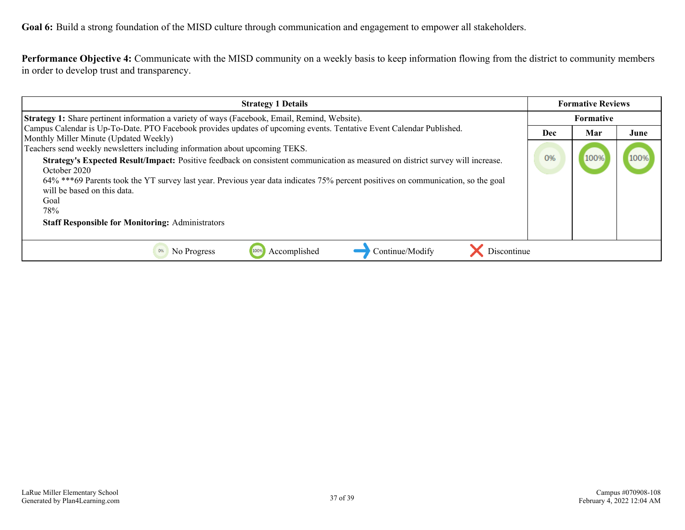**Performance Objective 4:** Communicate with the MISD community on a weekly basis to keep information flowing from the district to community members in order to develop trust and transparency.

| <b>Strategy 1 Details</b>                                                                                                                                                                                                                                                          |  | <b>Formative Reviews</b> |      |  |
|------------------------------------------------------------------------------------------------------------------------------------------------------------------------------------------------------------------------------------------------------------------------------------|--|--------------------------|------|--|
| <b>Strategy 1:</b> Share pertinent information a variety of ways (Facebook, Email, Remind, Website).                                                                                                                                                                               |  | <b>Formative</b>         |      |  |
| Campus Calendar is Up-To-Date. PTO Facebook provides updates of upcoming events. Tentative Event Calendar Published.<br>Monthly Miller Minute (Updated Weekly)                                                                                                                     |  | Mar                      | June |  |
| Teachers send weekly newsletters including information about upcoming TEKS.                                                                                                                                                                                                        |  | 100%                     | 100% |  |
| Strategy's Expected Result/Impact: Positive feedback on consistent communication as measured on district survey will increase.<br>October 2020<br>64% ***69 Parents took the YT survey last year. Previous year data indicates 75% percent positives on communication, so the goal |  |                          |      |  |
| will be based on this data.                                                                                                                                                                                                                                                        |  |                          |      |  |
| Goal                                                                                                                                                                                                                                                                               |  |                          |      |  |
| 78%<br><b>Staff Responsible for Monitoring: Administrators</b>                                                                                                                                                                                                                     |  |                          |      |  |
| Accomplished<br>Continue/Modify<br>Discontinue<br>No Progress                                                                                                                                                                                                                      |  |                          |      |  |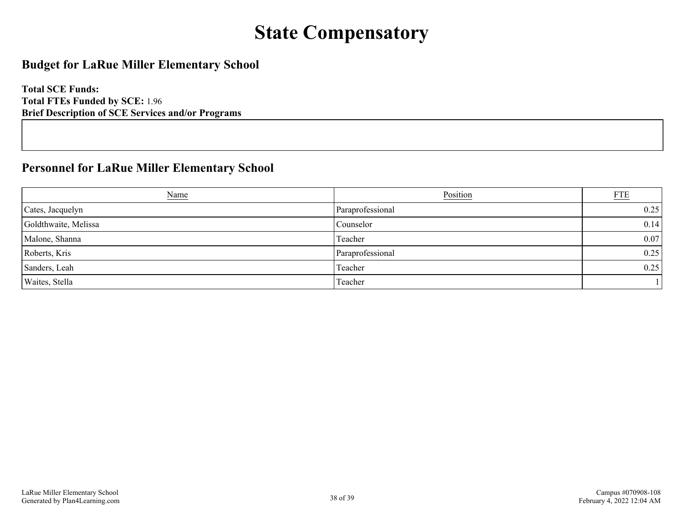## **State Compensatory**

### <span id="page-37-0"></span>**Budget for LaRue Miller Elementary School**

**Total SCE Funds: Total FTEs Funded by SCE:** 1.96 **Brief Description of SCE Services and/or Programs**

### **Personnel for LaRue Miller Elementary School**

| Name                 | Position         | ETE  |
|----------------------|------------------|------|
| Cates, Jacquelyn     | Paraprofessional | 0.25 |
| Goldthwaite, Melissa | Counselor        | 0.14 |
| Malone, Shanna       | Teacher          | 0.07 |
| Roberts, Kris        | Paraprofessional | 0.25 |
| Sanders, Leah        | Teacher          | 0.25 |
| Waites, Stella       | Teacher          |      |